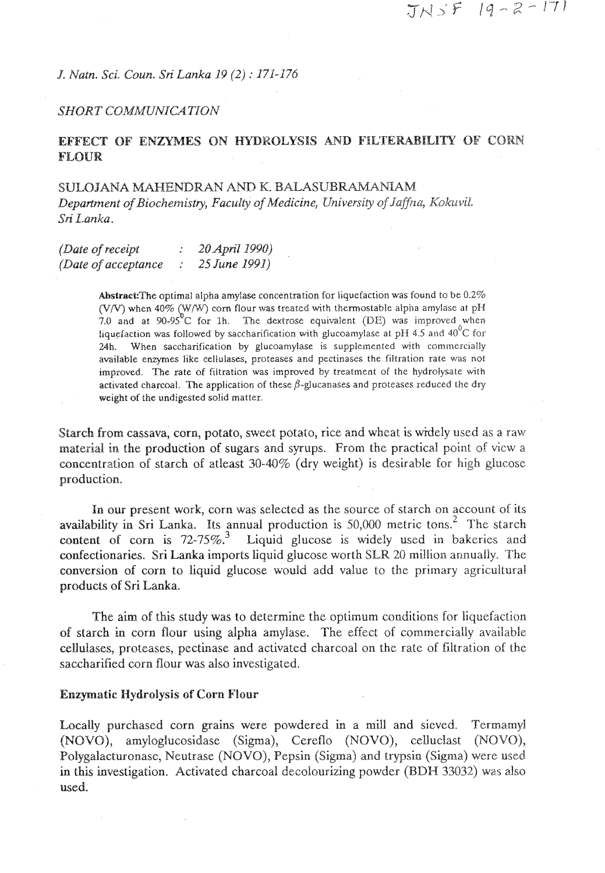**J.** *Natn. Sci.* **COU~.** SPi *Lanka 19 (2j* : *17i-176* 

#### SHORT COMMUNICATION

# **EFFECT OF ENZYMES ON HYDROLYSIS AND FILTERABILITY OF CORN FLOUR**

SULOJANA MAHENDRAN AND K. BALASUBRAMANIAM Department of Biochemistry, Faculty of Medicine, University of Jaffna, Kokuvil. Sri *Lanka*.

| (Date of receipt<br>(Date of acceptance) | 20 April 1990)<br>25 June 1991) |
|------------------------------------------|---------------------------------|

Abstract: The optimal alpha amylase concentration for liquefaction was found to be  $0.2\%$ (V/V) when 40% (W/W) corn flour was treated with thermostable alpha amylase at pH 7.0 and at 90-95°C for 1h. The dextrose equivalent (DE) was improved when liquefaction was followed by saccharification with glucoamylase a 24h. When saccharification by glucoamylase is supplemented with commercially available enzymes like cellulases, proteases and pectinases the filtration rate was not improved. The rate of filtration was improved by treatment of the hydrolysate with activated charcoal. The application of these  $\beta$ -glucanases and proteases reduced the dry weight of the undigested solid matter.

Starch from cassava, corn, potato, sweet potato, rice and wheat is widely used as a raw material in the production of sugars and syrups. From the practical point of view a concentration of starch of atleast 30-40% (dry weight) is desirable for high glucose production.

In our present work, corn was selected as the source of starch on account of its availability in Sri Lanka. Its annual production is  $50,000$  metric tons.<sup>2</sup> The starch content of corn is  $72-75\%$ .<sup>3</sup> Liquid glucose is widely used in bakeries and Liquid glucose is widely used in bakeries and confectionaries. Sri Lanka imports liquid glucose worth SLR *20* million annually. 'The conversion of corn to liquid glucose wouid add value to the primary agricultural products of Sri Lanka.

The aim of this study was to determine the optimum conditions for liquefaction of starch **in** corn flour using alpha amylase. The effect of commercially available cellulases, proteases, pectinase and activated charcoal on the rate of filtration of the saccharified corn flour was also investigated.

#### **Enzymatic Hydrolysis of Corn Flour**

Locally purchased corn grains were powdered in a mill and sieved. Termarnyl (NOVO), arnyloglucosidase (Sigma), Cereflo (NOVO), ceUuclast (NOVQ), Polygalacturonase, Neutrase (NOVO), Pepsin (Sigma) and trypsin (Sigma) were used in this investigation. Activated charcoal decolourizing powder (BDH *33032)* was also used.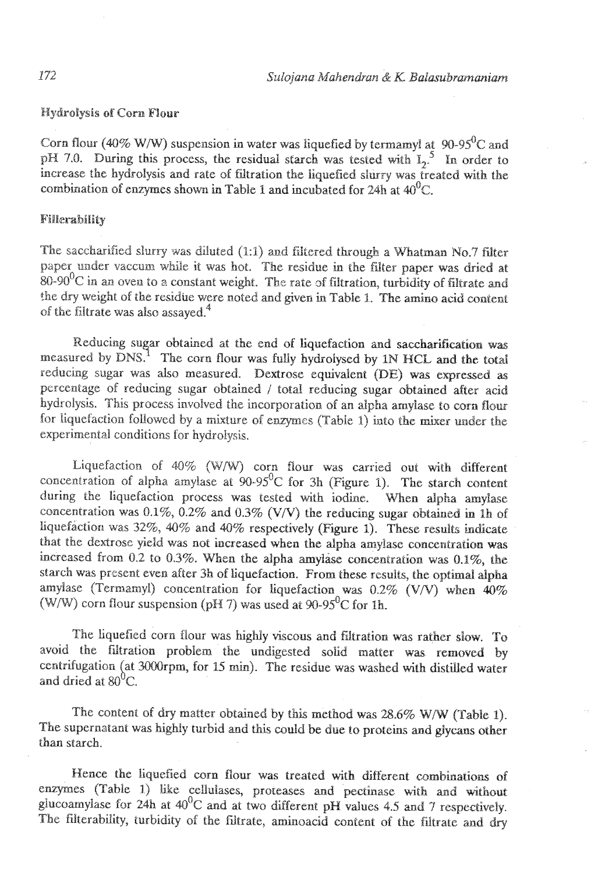Hydrolysis of Corn Flour

Corn flour (40% W/W) suspension in water was liquefied by termamyl at 90-95<sup>0</sup>C and pH 7.0. During this process, the residual starch was tested with  $I_2$ <sup>5</sup>. In order to increase the hydrolysis and rate of filtration the liquefied slurry was treated with the combination of enzymes shown in Table 1 and incubated for 24h at  $40^{\circ}$ C.

## Fillerability

The saccharified slurry was diluted (1:1) and filtered through a Whatman No.7 filter paper under vaccum while it was hot. The residue in the filter paper was dried at  $80$ -90<sup>0</sup>C in an oven to a constant weight. The rate of filtration, turbidity of filtrate and the dry weight of the residue were noted and given in Table 1. The amino acid content of the filtrate was also assayed  $4^4$ 

Reducing sugar obtained at the end of liquefaction and saccharification was measured by  $\text{DNS}^1$  The corn flour was fully hydrolysed by 1N HCL and the total reducing sugar was also measured. Dextrose equivalent (DE) was expressed as percentage of reducing sugar obtained / total reducing sugar obtained after acid hydrolysis. This process involved the incorporation of an alpha amylase to corn flour for liquefaction followed by a mixture of emymcs (Tabie I) into the mixer **under** the experimental conditions for hydroIysis.

Liquefaction of 40% (W/W) corn flour was carried out with different concentration of alpha amylase at  $90-95^\circ$ C for 3h (Figure 1). The starch content during the liquefaction process was tested with iodine. When alpha amylase concentration was **0.1%,** 0.2% and 0.3% (VW) the reducing **sugar** obtained **in Ih** of liquefaction was 32%, 40% and 40% respectively (Figure 1). These results indicate that the dextrose yield was not increased when the alpha amyjase concentration was increased from 0.2 to 0.3%. When the alpha amylase concentration was 0.1%, the starch was present even after **3h** of liquefaction. From these results, the **optimal** Jglaa amylase (Termamyl) concentration for liquefaction was 0.2% *(V/V)* when 40% (W/W) corn flour suspension ( $pH$  7) was used at  $90-95^{\circ}$ C for 1h.

The liquefied corn flour was highly viscous and filtration was rather slow. To avoid the fiitration problem the undigested solid matter was removed by centrifugation (at 3000rpm, for 15 min). The residue was washed with distilled water and dried at  $80^{\circ}$ C.

The content of dry matter obtained by this method was 28.6% W/W (Table 1). The supernatant was highly turbid **and** this codd be due to proteins **and** glycans other than starch.

Hence the liquefied corn flour was treated with different combinations of enzymes (Table 1) like cellulases, proteases and pectinase with and without glucoamylase for 24h at 40<sup>0</sup>C and at two different pH values 4.5 and 7 respectively. The filterability, turbidity of the filtrate, aminoacid content of the filtrate and dry

172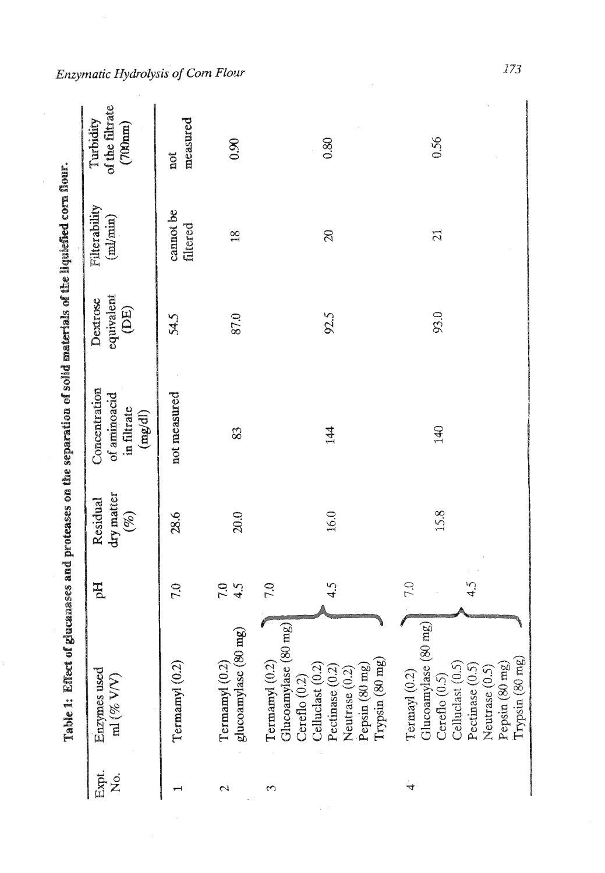|                 | Table 1: Effect of glucanases and proteases on the separation of solid materials of the liquiefied corn flour.                                                      |                     |                                  |                                                                 |                                |                                         |                                         |
|-----------------|---------------------------------------------------------------------------------------------------------------------------------------------------------------------|---------------------|----------------------------------|-----------------------------------------------------------------|--------------------------------|-----------------------------------------|-----------------------------------------|
| Expt.<br>o<br>Z | Enzymes used<br>$\mathbf{m}$ (% V/V)                                                                                                                                | рH                  | dry matter<br>Residual<br>$(\%)$ | Concentration<br>of aminoacid<br>in filtrate<br>$({\rm mg/dl})$ | equivalent<br>Dextrose<br>(DE) | Filterability<br>$\text{min}\text{min}$ | of the filtrate<br>Turbidity<br>(700nm) |
|                 | Termamy $(0.2)$                                                                                                                                                     | 7.0                 | 28.6                             | not measured                                                    | 54.5                           | cannot be<br>filtered                   | measured<br>not                         |
| $\mathbf 2$     | glucoamylase (80 mg)<br>Termamyl (0.2)                                                                                                                              | 7.5                 | 20.0                             | 83                                                              | 87.0                           | $\frac{8}{1}$                           | 0.90                                    |
| 3               | Glucoamylase (80 mg)<br>Termamyl (0.2)<br>$T$ rypsin $(80 \text{ mg})$<br>Pepsin (80 mg)<br>Celluclast (0.2)<br>Pectinase (0.2)<br>Neutrase (0.2<br>Cereflo $(0.2)$ | 7.0<br>4.5          | 16.0                             | 144                                                             | 92.5                           | $\infty$                                | 0.80                                    |
| 4               | Glucoamylase (80 mg)<br>Trypsin (80 mg)<br>Celluclast (0.5)<br>Pepsin (80 mg)<br>Pectinase (0.5)<br>Termayl (0.2)<br>Neutrase (0.5<br>Cereflo $(0.5)$               | 7.0<br>$\ddot{4.5}$ | 15.8                             | 140                                                             | 93.0                           | $\tilde{C}$                             | 0.56                                    |

*Enzymatic Hydrolysis of Corn Flour* 

 $\hat{\mathcal{A}}$ 

 $173\,$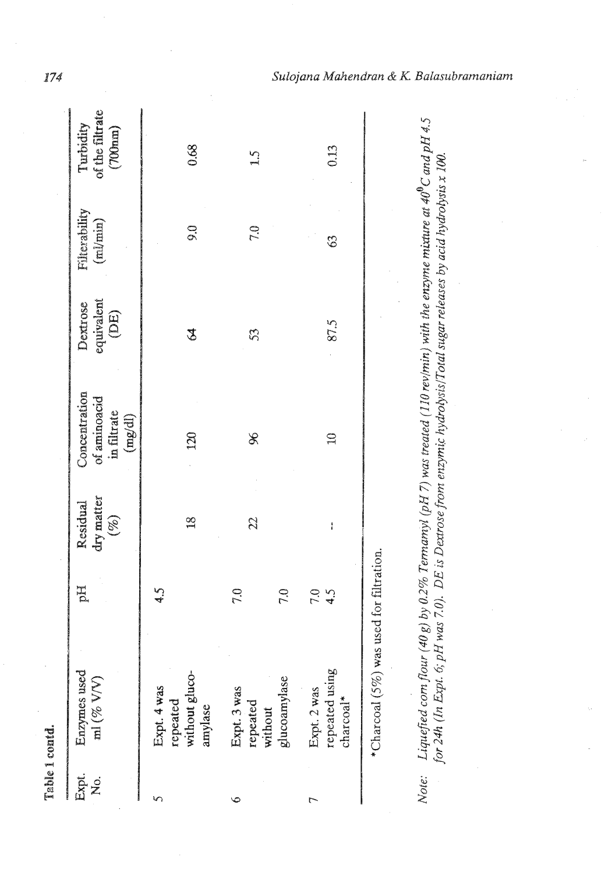|             | Table 1 contd.                                                                                                                                                                                                                               |            |                                  |                                                         |                                |                                     |                                         |
|-------------|----------------------------------------------------------------------------------------------------------------------------------------------------------------------------------------------------------------------------------------------|------------|----------------------------------|---------------------------------------------------------|--------------------------------|-------------------------------------|-----------------------------------------|
| Expt.<br>Ż. | Enzymes used<br>$\mathbf{m}$ (% V/V)                                                                                                                                                                                                         | H          | dry matter<br>Residual<br>$(\%)$ | Concentration<br>of aminoacid<br>in filtrate<br>(mg/dl) | equivalent<br>Dextrose<br>(DE) | Filterability<br>$(m_{\text{min}})$ | of the filtrate<br>Turbidity<br>(700nm) |
|             | without gluco-<br>Expt. 4 was<br>repeated<br>amylase                                                                                                                                                                                         | ري<br>په   | $\frac{8}{1}$                    | 120                                                     | \$                             | $\tilde{6}$                         | 0.68                                    |
| ৩           | glucoamylase<br>Expt. 3 was<br>repeated<br>without                                                                                                                                                                                           | 7.0<br>7.0 | 22                               | L                                                       | $\mathfrak{Z}$                 | 7.0                                 | $\mathbf{L}$                            |
| ┍           | repeated using<br>Expt. 2 was<br>$charccal$ <sup>*</sup>                                                                                                                                                                                     | 7.0<br>4.5 | ì                                | $\mathfrak{g}$                                          | 87.5                           | $\Im$                               | 0.13                                    |
|             | *Charcoal (5%) was used for filtration.                                                                                                                                                                                                      |            |                                  |                                                         |                                |                                     |                                         |
|             | Note:    Liquefied com flour (40 g) by 0.2% Termamyl (pH 7) was treated (110 rev/min) with the enzyme mixture at 40 <sup>0</sup> C and pH 4.5<br>for 24h (In Expt. 6; pH was 7.0).  DE is Dextrose from enzymic hydrolysis/Total sugar relea |            |                                  |                                                         |                                |                                     |                                         |

 $Sulojana Mahendran & K. Balasubramaniam$ 

174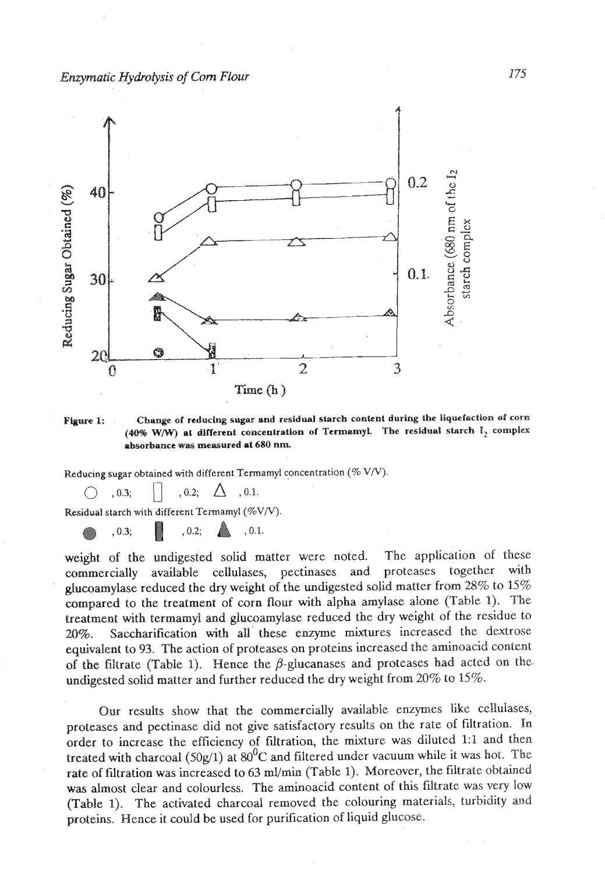*Enzymatic Hydrolysis of Com Flour* 



**Plgum I: Change of reducing sugar and residual starch content during the liquefaction of corn**  (40% W/W) at different concentration of Termamyl. The residual starch I<sub>2</sub> complex **absorbance was measured at 680 nm.** 

Reducing sugar obtained with different Termamyl concentration (%  $V/V$ ).<br>  $\bigcirc$  , 0.3;  $\bigcirc$  , 0.2;  $\bigcirc$  , 0.1.

Residual starch with different Teimamyl **(QoV/V).** 

0.3; **B** , 0.2; **A** , 0.1.

weight of the undigested solid matter were noted. The application of these commercially available cellulases, pectinases and proteases together with glucoamylase reduced the dry weight of the undigested solid matter from 28% to 15% compared to the treatment of corn flour with alpha amylase alone (Table **1).** The treatment **with** termamyl and glucoamylase reduced the dry weight of the residue to 20%. Saccharification with all these enzyme mixtures increased the dextrose equivalent to **93.** The action of proteases on proteins increased the aminoacid content of the filtrate (Table 1). Hence the  $\beta$ -glucanases and proteases had acted on the undigested solid matter and further reduced the dry weight from 20% to 15%.

Our results show that the commercially available enzymes like cellulases, proteases and pectinase did not give satisfactory results on the rate of filtration. In order to increase the efficiency of fdtration, the mixture was diluted **1:l** and then treated with charcoal (50g/1) at  $80^0$ C and filtered under vacuum while it was hot. The rate of filtration was increased to 63 ml/min (Table 1). Moreover, the filtrate obtained **was** ahnost clear **and** colourless. The aminoacid content of this filtrate was very low (Table 1). The activated charcoal removed the colouring materials, turbidity and proteins. Hence it could be used for purification of liquid glucose.